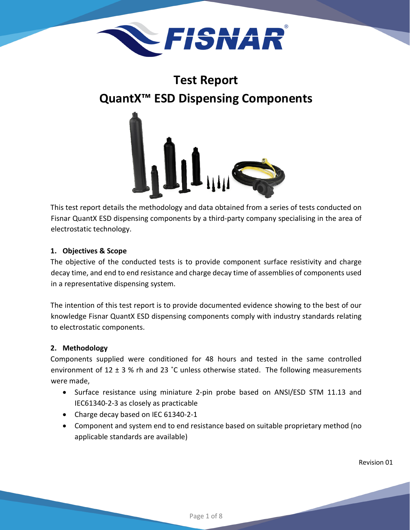

# **Test Report QuantX™ ESD Dispensing Components**



This test report details the methodology and data obtained from a series of tests conducted on Fisnar QuantX ESD dispensing components by a third-party company specialising in the area of electrostatic technology.

# **1. Objectives & Scope**

The objective of the conducted tests is to provide component surface resistivity and charge decay time, and end to end resistance and charge decay time of assemblies of components used in a representative dispensing system.

The intention of this test report is to provide documented evidence showing to the best of our knowledge Fisnar QuantX ESD dispensing components comply with industry standards relating to electrostatic components.

# **2. Methodology**

Components supplied were conditioned for 48 hours and tested in the same controlled environment of 12  $\pm$  3 % rh and 23 °C unless otherwise stated. The following measurements were made,

- Surface resistance using miniature 2-pin probe based on ANSI/ESD STM 11.13 and IEC61340-2-3 as closely as practicable
- Charge decay based on IEC 61340-2-1
- Component and system end to end resistance based on suitable proprietary method (no applicable standards are available)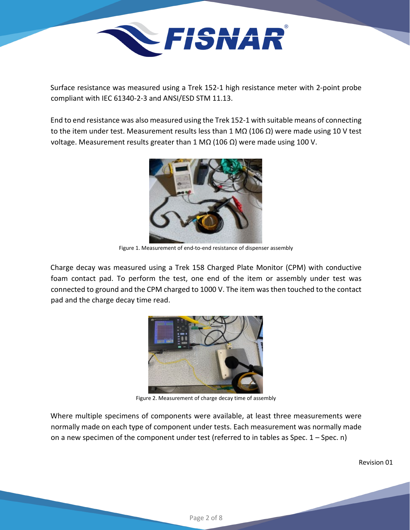

Surface resistance was measured using a Trek 152-1 high resistance meter with 2-point probe compliant with IEC 61340-2-3 and ANSI/ESD STM 11.13.

End to end resistance was also measured using the Trek 152-1 with suitable means of connecting to the item under test. Measurement results less than 1 MΩ (106 Ω) were made using 10 V test voltage. Measurement results greater than 1 MΩ (106 Ω) were made using 100 V.



Figure 1. Measurement of end-to-end resistance of dispenser assembly

Charge decay was measured using a Trek 158 Charged Plate Monitor (CPM) with conductive foam contact pad. To perform the test, one end of the item or assembly under test was connected to ground and the CPM charged to 1000 V. The item was then touched to the contact pad and the charge decay time read.



Figure 2. Measurement of charge decay time of assembly

Where multiple specimens of components were available, at least three measurements were normally made on each type of component under tests. Each measurement was normally made on a new specimen of the component under test (referred to in tables as Spec. 1 – Spec. n)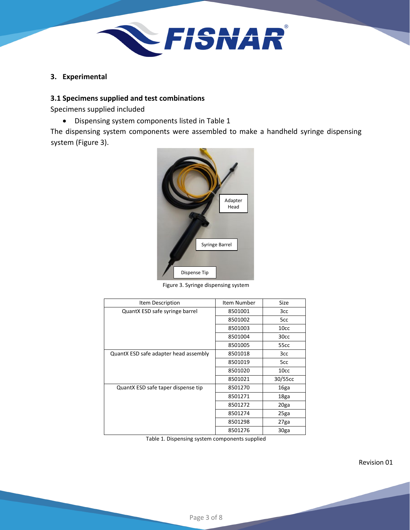

**3. Experimental**

#### **3.1 Specimens supplied and test combinations**

Specimens supplied included

• Dispensing system components listed in Table 1

The dispensing system components were assembled to make a handheld syringe dispensing system (Figure 3).



Figure 3. Syringe dispensing system

| Item Description                      | Item Number | Size              |
|---------------------------------------|-------------|-------------------|
| QuantX ESD safe syringe barrel        | 8501001     | 3cc               |
|                                       | 8501002     | 5cc               |
|                                       | 8501003     | 10cc              |
|                                       | 8501004     | 30cc              |
|                                       | 8501005     | 55 <sub>cc</sub>  |
| QuantX ESD safe adapter head assembly | 8501018     | 3cc               |
|                                       | 8501019     | 5cc               |
|                                       | 8501020     | 10cc              |
|                                       | 8501021     | 30/55cc           |
| QuantX ESD safe taper dispense tip    | 8501270     | 16ga              |
|                                       | 8501271     | 18ga              |
|                                       | 8501272     | 20ga              |
|                                       | 8501274     | 25ga              |
|                                       | 8501298     | 27 <sub>g</sub> a |
|                                       | 8501276     | 30ga              |

Table 1. Dispensing system components supplied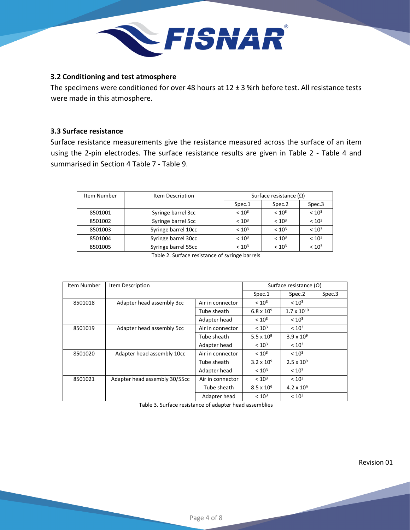

#### **3.2 Conditioning and test atmosphere**

The specimens were conditioned for over 48 hours at 12 ± 3 %rh before test. All resistance tests were made in this atmosphere.

## **3.3 Surface resistance**

Surface resistance measurements give the resistance measured across the surface of an item using the 2-pin electrodes. The surface resistance results are given in Table 2 - Table 4 and summarised in Section 4 Table 7 - Table 9.

| Item Number | Item Description    | Surface resistance $(\Omega)$ |                   |                   |
|-------------|---------------------|-------------------------------|-------------------|-------------------|
|             |                     | Spec.1                        | Spec.2            | Spec.3            |
| 8501001     | Syringe barrel 3cc  | < 10 <sup>3</sup>             | < 10 <sup>3</sup> | < 10 <sup>3</sup> |
| 8501002     | Syringe barrel 5cc  | < 10 <sup>3</sup>             | < 10 <sup>3</sup> | < 10 <sup>3</sup> |
| 8501003     | Syringe barrel 10cc | < 10 <sup>3</sup>             | < 10 <sup>3</sup> | < 10 <sup>3</sup> |
| 8501004     | Syringe barrel 30cc | < 10 <sup>3</sup>             | < 10 <sup>3</sup> | < 10 <sup>3</sup> |
| 8501005     | Syringe barrel 55cc | < 10 <sup>3</sup>             | < 10 <sup>3</sup> | < 10 <sup>3</sup> |

Table 2. Surface resistance of syringe barrels

| Item Number | Item Description              |                  |                     | Surface resistance $(\Omega)$ |        |
|-------------|-------------------------------|------------------|---------------------|-------------------------------|--------|
|             |                               |                  |                     | Spec.2                        | Spec.3 |
| 8501018     | Adapter head assembly 3cc     | Air in connector | < 10 <sup>3</sup>   | < 10 <sup>3</sup>             |        |
|             |                               | Tube sheath      | $6.8 \times 10^{9}$ | $1.7 \times 10^{10}$          |        |
|             |                               | Adapter head     | < 10 <sup>3</sup>   | < 10 <sup>3</sup>             |        |
| 8501019     | Adapter head assembly 5cc     | Air in connector | < 10 <sup>3</sup>   | < 10 <sup>3</sup>             |        |
|             |                               | Tube sheath      | $5.5 \times 10^{9}$ | $3.9 \times 10^{9}$           |        |
|             |                               | Adapter head     | < 10 <sup>3</sup>   | < 10 <sup>3</sup>             |        |
| 8501020     | Adapter head assembly 10cc    | Air in connector | < 10 <sup>3</sup>   | < 10 <sup>3</sup>             |        |
|             |                               | Tube sheath      | $3.2 \times 10^{9}$ | $2.5 \times 10^{9}$           |        |
|             |                               | Adapter head     | < 10 <sup>3</sup>   | < 10 <sup>3</sup>             |        |
| 8501021     | Adapter head assembly 30/55cc | Air in connector | < 10 <sup>3</sup>   | < 10 <sup>3</sup>             |        |
|             |                               | Tube sheath      | $8.5 \times 10^{9}$ | $4.2 \times 10^{9}$           |        |
|             |                               | Adapter head     | < 10 <sup>3</sup>   | < 10 <sup>3</sup>             |        |

Table 3. Surface resistance of adapter head assemblies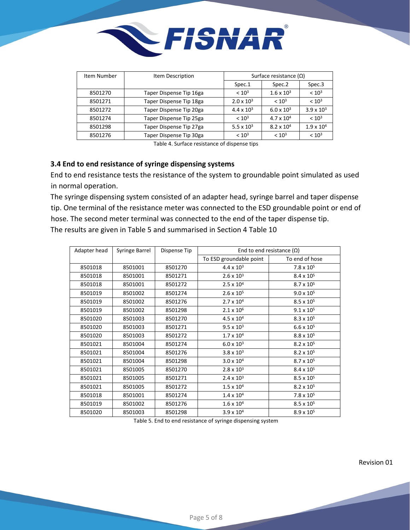

| Item Number | Item Description        | Surface resistance (Ω)       |                     |                     |
|-------------|-------------------------|------------------------------|---------------------|---------------------|
|             |                         | Spec.1                       | Spec. <sub>2</sub>  | Spec.3              |
| 8501270     | Taper Dispense Tip 16ga | < 10 <sup>3</sup>            | $1.6 \times 10^3$   | < 10 <sup>3</sup>   |
| 8501271     | Taper Dispense Tip 18ga | $2.0 \times 10^{3}$          | < 10 <sup>3</sup>   | < 10 <sup>3</sup>   |
| 8501272     | Taper Dispense Tip 20ga | $4.4 \times 10^{3}$          | $6.0 \times 10^{3}$ | $3.9 \times 10^{3}$ |
| 8501274     | Taper Dispense Tip 25ga | < 10 <sup>3</sup>            | $4.7 \times 10^{4}$ | < 10 <sup>3</sup>   |
| 8501298     | Taper Dispense Tip 27ga | 5.5 $\times$ 10 <sup>3</sup> | $8.2 \times 10^{4}$ | $1.9 \times 10^{4}$ |
| 8501276     | Taper Dispense Tip 30ga | < 10 <sup>3</sup>            | < 10 <sup>3</sup>   | < 10 <sup>3</sup>   |

Table 4. Surface resistance of dispense tips

### **3.4 End to end resistance of syringe dispensing systems**

End to end resistance tests the resistance of the system to groundable point simulated as used in normal operation.

The syringe dispensing system consisted of an adapter head, syringe barrel and taper dispense tip. One terminal of the resistance meter was connected to the ESD groundable point or end of hose. The second meter terminal was connected to the end of the taper dispense tip. The results are given in Table 5 and summarised in Section 4 Table 10

| Adapter head | Syringe Barrel | Dispense Tip | End to end resistance $(\Omega)$ |                     |
|--------------|----------------|--------------|----------------------------------|---------------------|
|              |                |              | To ESD groundable point          | To end of hose      |
| 8501018      | 8501001        | 8501270      | $4.4 \times 10^{3}$              | $7.8 \times 10^{5}$ |
| 8501018      | 8501001        | 8501271      | $2.6 \times 10^{3}$              | $8.4 \times 10^{5}$ |
| 8501018      | 8501001        | 8501272      | $2.5 \times 10^{4}$              | $8.7 \times 10^{5}$ |
| 8501019      | 8501002        | 8501274      | $2.6 \times 10^{5}$              | $9.0 \times 10^{5}$ |
| 8501019      | 8501002        | 8501276      | $2.7 \times 10^{4}$              | $8.5 \times 10^{5}$ |
| 8501019      | 8501002        | 8501298      | $2.1 \times 10^6$                | $9.1 \times 10^{5}$ |
| 8501020      | 8501003        | 8501270      | $4.5 \times 10^{4}$              | $8.3 \times 10^{5}$ |
| 8501020      | 8501003        | 8501271      | $9.5 \times 10^{3}$              | $6.6 \times 10^{5}$ |
| 8501020      | 8501003        | 8501272      | $1.7 \times 10^{4}$              | $8.8 \times 10^{5}$ |
| 8501021      | 8501004        | 8501274      | $6.0 \times 10^{3}$              | $8.2 \times 10^{5}$ |
| 8501021      | 8501004        | 8501276      | $3.8 \times 10^{3}$              | $8.2 \times 10^{5}$ |
| 8501021      | 8501004        | 8501298      | $3.0 \times 10^{4}$              | $8.7 \times 10^{5}$ |
| 8501021      | 8501005        | 8501270      | $2.8 \times 10^{3}$              | $8.4 \times 10^{5}$ |
| 8501021      | 8501005        | 8501271      | $2.4 \times 10^{3}$              | $8.5 \times 10^{5}$ |
| 8501021      | 8501005        | 8501272      | $1.5 \times 10^{4}$              | $8.2 \times 10^{5}$ |
| 8501018      | 8501001        | 8501274      | $1.4 \times 10^{4}$              | $7.8 \times 10^{5}$ |
| 8501019      | 8501002        | 8501276      | $1.6\times10^4$                  | $8.5 \times 10^{5}$ |
| 8501020      | 8501003        | 8501298      | $3.9 \times 10^{4}$              | $8.9 \times 10^{5}$ |

Table 5. End to end resistance of syringe dispensing system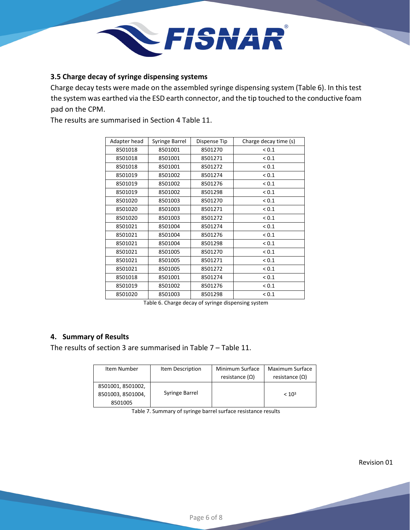

### **3.5 Charge decay of syringe dispensing systems**

Charge decay tests were made on the assembled syringe dispensing system (Table 6). In this test the system was earthed via the ESD earth connector, and the tip touched to the conductive foam pad on the CPM.

The results are summarised in Section 4 Table 11.

| Adapter head | Syringe Barrel | Dispense Tip | Charge decay time (s) |
|--------------|----------------|--------------|-----------------------|
| 8501018      | 8501001        | 8501270      | ${}_{0.1}$            |
| 8501018      | 8501001        | 8501271      | ${}_{0.1}$            |
| 8501018      | 8501001        | 8501272      | ${}_{0.1}$            |
| 8501019      | 8501002        | 8501274      | ${}_{0.1}$            |
| 8501019      | 8501002        | 8501276      | ${}_{0.1}$            |
| 8501019      | 8501002        | 8501298      | ${}_{0.1}$            |
| 8501020      | 8501003        | 8501270      | ${}_{0.1}$            |
| 8501020      | 8501003        | 8501271      | ${}_{0.1}$            |
| 8501020      | 8501003        | 8501272      | ${}_{0.1}$            |
| 8501021      | 8501004        | 8501274      | ${}_{0.1}$            |
| 8501021      | 8501004        | 8501276      | ${}_{0.1}$            |
| 8501021      | 8501004        | 8501298      | ${}_{0.1}$            |
| 8501021      | 8501005        | 8501270      | ${}_{0.1}$            |
| 8501021      | 8501005        | 8501271      | ${}_{0.1}$            |
| 8501021      | 8501005        | 8501272      | ${}_{0.1}$            |
| 8501018      | 8501001        | 8501274      | ${}_{0.1}$            |
| 8501019      | 8501002        | 8501276      | ${}_{0.1}$            |
| 8501020      | 8501003        | 8501298      | ${}_{0.1}$            |

Table 6. Charge decay of syringe dispensing system

# **4. Summary of Results**

The results of section 3 are summarised in Table 7 – Table 11.

| Item Number                                       | Item Description | Minimum Surface<br>resistance $(\Omega)$ | Maximum Surface<br>resistance $(\Omega)$ |
|---------------------------------------------------|------------------|------------------------------------------|------------------------------------------|
| 8501001, 8501002,<br>8501003, 8501004,<br>8501005 | Syringe Barrel   |                                          | < 10 <sup>3</sup>                        |

Table 7. Summary of syringe barrel surface resistance results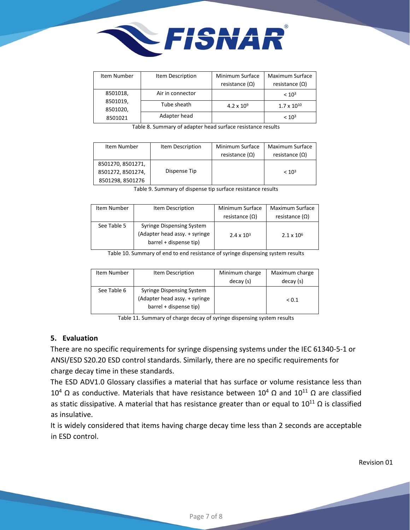

| Item Number          | Item Description | Minimum Surface<br>resistance $(\Omega)$ | Maximum Surface<br>resistance $(\Omega)$ |
|----------------------|------------------|------------------------------------------|------------------------------------------|
| 8501018,             | Air in connector |                                          | < 10 <sup>3</sup>                        |
| 8501019,<br>8501020, | Tube sheath      | $4.2 \times 10^{9}$                      | $1.7 \times 10^{10}$                     |
| 8501021              | Adapter head     |                                          | < 10 <sup>3</sup>                        |

Table 8. Summary of adapter head surface resistance results

| Item Number       | Item Description | Minimum Surface<br>resistance $(\Omega)$ | Maximum Surface<br>resistance $(\Omega)$ |
|-------------------|------------------|------------------------------------------|------------------------------------------|
| 8501270, 8501271, |                  |                                          |                                          |
| 8501272, 8501274, | Dispense Tip     |                                          | < 10 <sup>3</sup>                        |
| 8501298, 8501276  |                  |                                          |                                          |

Table 9. Summary of dispense tip surface resistance results

| Item Number | Item Description                                                                            | Minimum Surface       | Maximum Surface       |
|-------------|---------------------------------------------------------------------------------------------|-----------------------|-----------------------|
|             |                                                                                             | resistance $(\Omega)$ | resistance $(\Omega)$ |
| See Table 5 | <b>Syringe Dispensing System</b><br>(Adapter head assy. + syringe<br>barrel + dispense tip) | $2.4 \times 10^{3}$   | $2.1 \times 10^{6}$   |

Table 10. Summary of end to end resistance of syringe dispensing system results

| Item Number | Item Description                 | Minimum charge | Maximum charge |
|-------------|----------------------------------|----------------|----------------|
|             |                                  | decay (s)      | decay (s)      |
| See Table 6 | <b>Syringe Dispensing System</b> |                |                |
|             | (Adapter head assy. + syringe    |                | ${}_{0.1}$     |
|             | barrel + dispense tip)           |                |                |

Table 11. Summary of charge decay of syringe dispensing system results

#### **5. Evaluation**

There are no specific requirements for syringe dispensing systems under the IEC 61340-5-1 or ANSI/ESD S20.20 ESD control standards. Similarly, there are no specific requirements for charge decay time in these standards.

The ESD ADV1.0 Glossary classifies a material that has surface or volume resistance less than  $10^4$  Ω as conductive. Materials that have resistance between  $10^4$  Ω and  $10^{11}$  Ω are classified as static dissipative. A material that has resistance greater than or equal to  $10^{11} \Omega$  is classified as insulative.

It is widely considered that items having charge decay time less than 2 seconds are acceptable in ESD control.